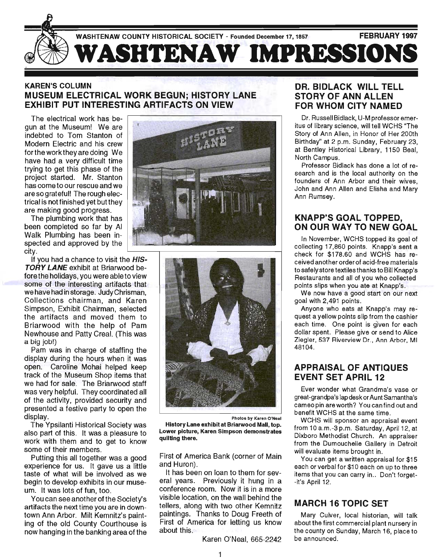

#### KAREN'S COLUMN MUSEUM ELECTRICAL WORK BEGUN; HISTORY LANE EXHIBIT PUT INTERESTING ARTIFACTS ON VIEW

The electrical work has begun at the Museum! We are indebted to Tom Stanton of Modern Electric and his crew fortheworktheyaredoing We have had a very difficult time trying to get this phase of the project started. Mr. Stanton has come to our rescue and we are so grateful! The rough electrical is not finished yet but they are making good progress.

The plumbing work that has been completed so far by AI Walk Plumbing has been in-

If you had a chance to visit the **HIS-**TORY LANE exhibit at Briarwood before the holidays, you were able to view some of the interesting artifacts that we have had in storage. JudyChrisman, Collections chairman, and Karen Simpson, Exhibit Chairman, selected the artifacts and moved them to Briarwood with the help of Pam Newhouse and Patty Creal. (This was a big jOb!)

Pam was in charge of staffing the display during the hours when it was open. Caroline Mohai helped keep track of the Museum Shop items that we had for sale. The Briarwood staff was very helpful. They coordinated all of the activity, provided security and presented a festive party to open the display.

The Ypsilanti Historical Society was also part of this. It was a pleasure to work with them and to get to know some of their members.

Putting this all together was a good experience for us. It gave us a little taste of what will be involved as we begin to develop exhibits in our museum. It was lots of fun, too.

You can see another of the Society's artifacts the next time you are in downtown Ann Arbor. Milt Kemnitz's painting of the old County Courthouse is now hanging in the banking area of the





Photos by Karen O'Neal History Lane exhibit at Briarwood Mall, top. Lower picture, Karen Simpson demonstrates quilting there.

First of America Bank (corner of Main and Huron).

It has been on loan to them for several years. Previously it hung in a conference room. Now it is in a more visible location, on the wall behind the tellers, along with two other Kemnitz paintings. Thanks to Doug Freeth of First of America for letting us know about this.

Karen O'Neal, 665-2242

#### DR. BIDLACK WILL TELL STORY OF ANN ALLEN FOR WHOM CITY NAMED

Dr. Russell Bidlack, U-M professor emeritus of library science, will tell WCHS "The Story of Ann Allen, in Honor of Her 200th Birthday" at 2 p.m. Sunday, February 23, at Bentley Historical Library, 1150 Beal, North Campus.

Professor Bidlack has done a lot of research and is the local authority on the founders of Ann Arbor and their wives, John and Ann Allen and Elisha and Mary Ann Rumsey.

#### KNAPP'S GOAL TOPPED, ON OUR WAY TO NEW GOAL

In November, WCHS topped its goal of collecting 17,860 points. Knapp's sent a check for \$178.60 and WCHS has received another order of acid-free materials to safely store textiles thanks to Bill Knapp's Restaurants and all of you who collected points slips when you ate at Knapp's .

We now have a good start on our next goal with 2,491 points.

Anyone who eats at Knapp's may request a yellow points slip from the cashier each time. One point is given for each dollar spent. Please give or send to Alice Ziegler, 537 Riverview Dr., Ann Arbor, MI 48104.

#### APPRAISAL OF ANTIQUES EVENT SET APRIL 12

Ever wonder what Grandma's vase or great-grandpa's lap desk or Aunt Samantha's cameo pin are worth? You can find out and benefit WCHS at the same time.

WCHS will sponsor an appraisal event from 10 a.m.-3 p.m. Saturday, April 12, at Dixboro Methodist Church. An appraiser from the Dumouchelle Gallery in Detroit will evaluate items brought in.

You can get a written appraisal for \$15 each or verbal for \$1 0 each on up to three items that you can carry in.. Don't forget--it's April 12.

#### MARCH 16 TOPIC SET

Mary Culver, local historian, will talk about the first commercial plant nursery in the county on Sunday, March 16, place to be announced.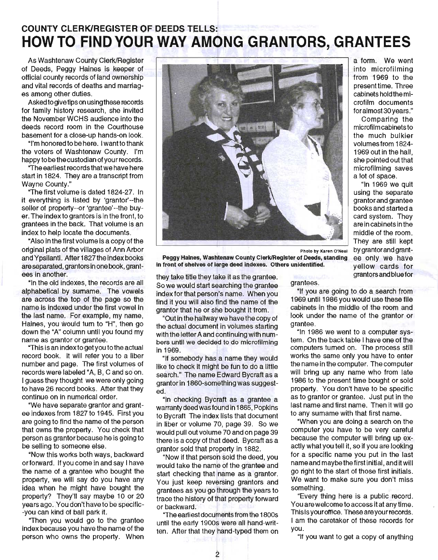# **COUNTY CLERK/REGISTER OF DEEDS TELLS: HOW TO FIND YOUR WAY AMONG GRANTORS, GRANTEES**

As Washtenaw County Clerk/Register of Deeds, Peggy Haines is keeper of official county records of land ownership and vital records of deaths and marriages among other duties.

Asked to give tips on using these records for family history research, she invited the November WCHS audience into the deeds record room in the Courthouse basement for a close-up hands-on look.

"I'm honored to be here. I wantto thank the voters of Washtenaw County. I'm happy to be the custodian of your records.

"The earliest records that we have here start in 1824. They are a transcript from Wayne County."

"The first volume is dated 1824-27. In it everything is listed by 'grantor'--the seller of property--or 'grantee'--the buyer. The indexto grantors is in the front, to grantees in the back. That volume is an index to help locate the documents.

"Also in the first volume is a copy of the original plats of the villages of Ann Arbor and Ypsilanti. After 1827 the index books are separated, grantors in one book, grantees in another.

"In the old indexes, the records are all alphabetical by surname. The vowels are across the top of the page so the name is indexed under the first vowel in the last name. For example, my name, Haines, you would tum to "H", then go down the "A" column until you found my name as grantor or grantee.

"This is an index to get you to the actual record book. It will refer you to a liber number and page. The first volumes of records were labeled "A, B, C and so on. I guess they thought we were only going to have 26 record books. After that they continue on in numerical order.

"We have separate grantor and grantee indexes from 1827 to 1945. First you are going to find the name of the person that owns the property. You check that person as grantor because he is going to be selling to someone else.

"Now this works both ways, backward or forward. If you come in and say I have the name of a grantee who bought the property, we will say do you have any idea when he might have bought the property? They'll say maybe 10 or 20 years ago. You don't have to be specific- -you can kind of ball park it.

"Then you would go to the grantee index because you have the name of the person who owns the property. When



Peggy Haines, Washtenaw County Clerk/Register of Deeds, standing in front of shelves of large deed indexes. Others unidentified.

they take title they take it as the grantee. So we would start searching the grantee index for that person's name. When you find it you will also find the name of the grantor that he or she bought it from.

"Out in the hallway we have the copy of the actual document in volumes starting with the letter A and continuing with numbers until we decided to do microfilming in 1969.

"If somebody has a name they would like to check it might be fun to do a little search." The name Edward Bycraft as a grantor in 1860-something was suggested.

"In checking Bycraft as a grantee a warranty deed was found in 1865, Popkins to Bycraft The index lists that document in liber or volume 70, page 39. So we would pull out volume 70 and on page 39 there is a copy of that deed. Bycraft as a grantor sold that property in 1882.

"Now if that person sold the deed, you would take the name of the grantee and start checking that name as a grantor. You just keep reversing grantors and grantees as you go through the years to trace the history of that property forward or backward.

''The ear1iest documents from the 1800s until the early 1900s were all hand-written. After that they hand-typed them on

a form. We went into microfilming from 1969 to the present time. Three cabinets hold the microfilm documents for almost 30 years."

Comparing the microfilm cabinets to the much bulkier volumes from 1824- 1 969 out in the hall, she pointed out that microfilming saves a lot of space.

"In 1969 we quit using the separate grantor and grantee books and started a card system. They are in cabinets in the middle of the room. They are still kept by grantorand grantee only we have yellow cards for grantors and blue for

grantees.

"If you are going to do a search from 1969 until 1986 you would use these file cabinets in the middle of the room and look under the name of the grantor or grantee.

"In 1986 we went to a computer system. On the back table I have one of the computers turned on. The process still works the same only you have to enter the name in the computer. The computer will bring up any name who from late 1986 to the present time bought or sold property. You don't have to be specific as to grantor or grantee. Just put in the last name and first name. Then it will go to any surname with that first name.

"When you are doing a search on the computer you have to be very careful because the computer will bring up exactly what you tell it, so if you are looking for a specific name you put in the last name and maybe the first initial, and it will go right to the start of those first initials. We want to make sure you don't miss something.

"Every thing here is a public record. You are welcome to access it at any time. This is your office. These are your records. I am the caretaker of these records for you.

"If you want to get a copy of anything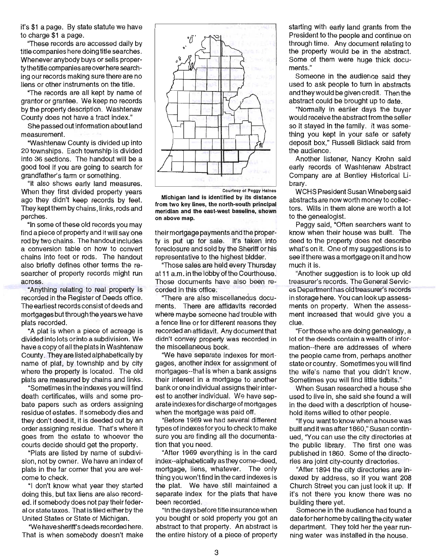it's \$1 a page. By state statute we have to charge \$1 a page.

"These records are accessed daily by title companies here doing title searches. Whenever anybody buys or sells property the title companies are over here searching our records making sure there are no liens or other instruments on the title.

"The records are all kept by name of grantor or grantee. We keep no records by the property description. Washtenaw County does not have a tract index."

She passed out information about land measurement.

"Washtenaw County is divided up into 20 townships. Each township is divided into 36 sections. The handout will be a good tool if you are going to search for grandfather's farm or something.

"It also shows early land measures. When they first divided property years ago they didn't keep records by feet. They keptthem by chains, links, rods and perches.

"In some of these old records you may find a piece of property and it will say one rod by two chains. The handout includes a conversion table on how to convert chains into feet or rods. The handout also briefly defines other terms the researcher of property records might run across.

"Anything relating to real property is recorded in the Register of Deeds office. The earliest records consist of deeds and mortgages but through the years we have plats recorded.

"A plat is when a piece of acreage is divided into lots or into a subdivision. We have a copy of all the plats in Washtenaw County. They are listed alphabetically by name of plat, by township and by city where the property is located. The old plats are measured by chains and links.

"Sometimes in the indexes you will find death certificates, wills and some probate papers such as orders assigning residue of estates. If somebody dies and they don't deed it, it is deeded out by an order assigning residue. That's where it goes from the estate to whoever the courts decide should get the property.

"Plats are listed by name of subdivision, not by owner. We have an index of plats in the far corner that you are welcome to check.

"I don't know what year they started doing this, but tax liens are also recorded. if somebody does not pay their federal or state taxes. That is filed either by the United States or State of Michigan.

"We have sheriff's deeds recorded here. That is when somebody doesn't make



Courtesy 01 Peggy Haines

Michigan land is identified by its distance from two key lines, the north-south principal meridian and the east-west baseline, shown on above map.

their mortgage payments and the property is put up for sale. It's taken into foreclosure and sold by the Sheriff or his representative to the highest bidder.

"Those sales are held every Thursday at 11 a.m. in the lobby of the Courthouse. Those documents have also been recorded in this office.

"There are also miscellaneous documents. There are affidavits recorded where maybe someone had trouble with a fence line or for different reasons they recorded an affidavit. Any document that didn't convey property was recorded in the miscellaneous book.

"We have separate indexes for mortgages, another index for assignment of mortgages--that is when a bank assigns their interest in a mortgage to another bank or one individual assigns their interest to another individual. We have separate indexes for discharge of mortgages when the mortgage was paid off.

"Before 1969 we had several different types of indexes for you to check to make sure you are finding all the documentation that you need.

"After 1969 everything is in the card index--alphabetically as they come--deed, mortgage, liens, whatever. The only thing you won't find in the card indexes is the plat. We have still maintained a separate index for the plats that have been recorded.

"In the days before title insurance when you bought or sold property you got an abstract to that property. An abstract is the entire history of a piece of property starting with early land grants from the President to the people and continue on through time. Any document relating to the property would be in the abstract. Some of them were huge thick documents."

Someone in the audience said they used to ask people to turn in abstracts and they would be given credit. Then the abstract could be brought up to date.

. "Normally in earlier days the buyer would receive the abstract from the seller so it stayed in the family. It was something you kept in your safe or safety deposit box," Russell Bidlack said from the audience.

Another listener, Nancy Krohn said early records of Washtenaw Abstract Company are at Bentley Historical library.

WCHS President Susan Wineberg said abstracts are now worth money to collectors. Wills in them alone are worth a lot to the genealogist.

Peggy said, "Often searchers want to know when their house was built. The deed to the property does not describe what's on it. One of my suggestions is to see if there was a mortgage on it and how much it is.

"Another suggestion is to look up old treasurer's records. The General Services Department has old treasurer's records in storage here. You can look up assessments on property. When the assessment increased that would give you a clue.

"Forthose who are doing genealogy, a lot of the deeds contain a wealth of information--there are addresses of where the people came from, perhaps another state or country. Sometimes you will find the wife's name that you didn't know. Sometimes you will find little tidbits."

When Susan researched a house she used to live in, she said she found a will in the deed with a description of household items willed to other people.

"If you want to know when a house was built and it was after 1860," Susan continued, "You can use the city directories at the public library. The first one was published in 1860. Some of the directories are joint city-county directories.

"After 1894 the city directories are indexed by address, so if you want 208 Church Street you can just look it up. If it's not there you know there was no building there yet.

Someone in the audience had found a date for her home by calling the city water department. They told her the year running water was installed in the house.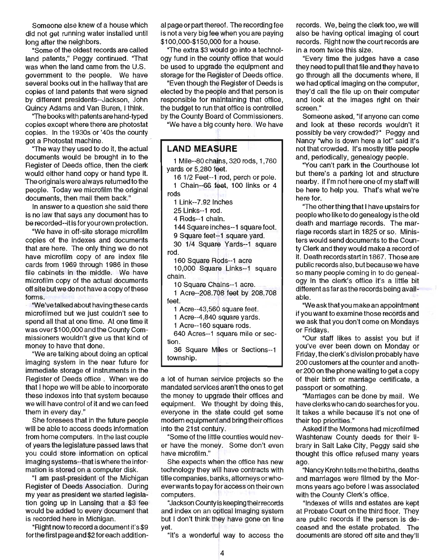Someone else knew of a house which did not get running water installed until long after the neighbors.

"Some of the oldest records are called land patents," Peggy continued. "That was when the land came from the U.S. government to the people. We have several books out in the hallway that are copies of land patents that were signed by different presidents--Jackson, John Quincy Adams and Van Buren, I think.

"The books with patents are hand-typed copies except where there are photostat copies. In the 1930s or '40s the county got a Photostat machine.

"The way they used to do it, the actual documents would be brought in to the Register of Deeds office, then the clerk would either hand copy or hand type it. The originals were always returned to the people. Today we microfilm the original documents, then mail them back."

In answer to a question she said there is no law that says any document has to be recorded--it is for your own protection.

"We have in off-site storage microfilm copies of the indexes and documents that are here. The only thing we do not have microfilm copy of are index file cards from 1969 through 1986 in these file cabinets in the middle. We have microfilm copy of the actual documents off site but we do not have a copy of these forms.

"We've talked about having these cards microfilmed but we just couldn't see to spend all that at one time. At one time it was over \$1 00,000 and the County Commissioners wouldn't give us that kind of money to have that done.

"We are talking about doing an optical imaging system in the near future for immediate storage of instruments in the Register of Deeds office . When we do that I hope we will be able to incorporate these indexes into that system because we will have control of it and we can feed them in every day."

She foresees that in the future people will be able to access deeds information from home computers. In the last couple of years the legislature passed laws that you could store information on optical imaging systems--that is where the information is stored on a computer disk.

"I am past-president of the Michigan Register of Deeds Association. During my year as president we started legislation going up in Lansing that a \$3 fee would be added to every document that is recorded here in Michigan.

"Right now to record a document it's \$9 forthe first page and \$2 for each addition-

al page or part thereof. The recording fee is not a very big fee when you are paying \$100,000-\$150,000 for a house.

"The extra \$3 would go into a technology fund in the county office that would be used to upgrade the equipment and storage for the Register of Deeds office.

"Even though the Register of Deeds is elected by the people and that person is responsible for maintaining that office, the budget to run that office is controlled by the County Board of Commissioners.

"We have a big county here. We have

**LAND MEASURE**  1 Mile--80 chains, 320 rods, 1,760 yards or 5,280 feet. 16112 Feet--1 rod, perch or pole. 1 Chain--66 feet, 100 links or 4 rods 1 Link--7.92 inches 25 Links--1 rod. 4 Rods--1 chain. 144 Square inches--1 square foot. 9 Square feet--1 square yard. 30 1/4 Square Yards--1 square rod. 160 Square Rods--1 acre 10,000 Square Links--1 square chain. 10 Square Chains--1 acre. 1 Acre--208.708 feet by 208.708 feet. 1 Acre--43,560 square feet. 1 Acre--4,840 square yards. 1 Acre--160 square rods. 640 Acres--1 square mile or section. 36 Square Miles or Sections--1 townShip.

a lot of human service projects so the mandated services aren't the ones to get the money to upgrade their offices and equipment. We thought by doing this, everyone in the state could get some modern equipment and bring their offices into the 21st century.

"Some of the little counties would never have the money. Some don't even have microfilm."

She expects when the office has new technology they will have contracts with title companies, banks, attorneys or whoever wants to pay for access on their own computers.

"Jackson County is keeping their records and index on an optical imaging system but I don't think they have gone on line yet.

"It's a wonderful way to access the

records. We, being the clerk too, we will also be having optical imaging of court records. Right now the court records are in a room twice this size.

"Every time the judges have a case they need to pull that file and they have to go through all the documents where, if we had optical imaging on the computer, they'd call the file up on their computer and look at the images right on their screen."

Someone asked, "If anyone can come and look at these records wouldn't it possibly be very crowded?" Peggy and Nancy "who is down here a lot" said it's not that crowded. It's mostly title people and, periodically, genealogy people.

"You can't park in the Courthouse lot but there's a parking lot and structure nearby. If I'm not here one of my staff will be here to help you. That's what we're here for.

"The other thing that I have upstairs for people who like to do genealogy is the old death and marriage records. The marriage records start in 1825 or so. Ministers would send documents to the County Clerk and they would make a record of it. Death records start in 1867. Those are public records also, but because we have so many people coming in to do genealogy in the clerk's office it's a little bit different as far as the records being available.

"We ask that you make an appointment if you want to examine those records and we ask that you don't come on Mondays or Fridays.

"Our staff likes to assist you but if you've ever been down on Monday or Friday, the clerk's division probably have 200 customers at the counter and another 200 on the phone waiting to get a copy of their birth or marriage certificate, a passport or something.

"Marriages can be done by mail. We have clerks who can do searches for you. It takes a while because it's not one of their top priorities."

Asked if the Mormons had microfilmed Washtenaw County deeds for their library in Salt Lake City, Peggy said she thought this office refused many years ago.

"Nancy Krohn tells me the births, deaths and marriages were filmed by the Mormons years ago before I was associated with the County Clerk's office.

"Indexes of wills and estates are kept at Probate Court on the third floor. They are public records if the person is deceased and the estate probated. The documents are stored off site and they'll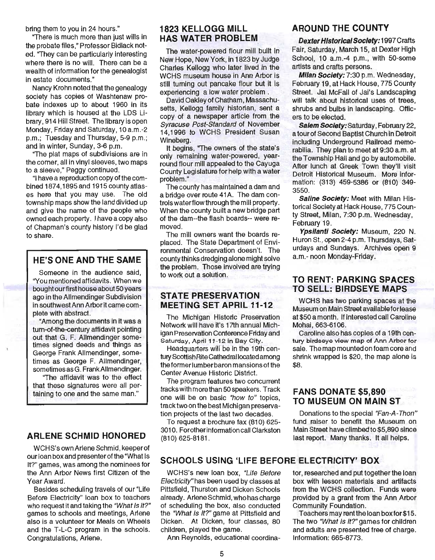bring them to you in 24 hours."

"There is much more than just wills in the probate files," Professor Bidlack noted. "They can be particularly interesting where there is no will. There can be a wealth of information for the genealogist in estate documents."

Nancy Krohn noted that the genealogy society has copies of Washtenaw probate indexes up to about 1960 in its library which is housed at the LDS Library, 914 Hill Street. The library is open Monday, Friday and Saturday, 10 a.m.-2 p.m.; Tuesday and Thursday, 5-9 p.m.; and in winter, Sunday, 3-6 p.m.

"The plat maps of subdivisions are in the comer, all in vinyl sleeves, two maps to a sleeve," Peggy continued.

"I have a reproduction copy of the combined 1874,1895 and 1915 county atlases here that you may use. The old township maps show the land divided up and give the name of the people who owned each property. I have a copy also of Chapman's county history I'd be glad to share.

### HE'S ONE AND THE SAME

Someone in the audience said, "You mentioned affidavits. When we bought ourfirst house about 50 years ago in the Allmendinger Subdivision in southwest Ann Arbor it came complete with abstract.

"Among the documents in it was a tum-of-the-century affidavit pointing out that G. F. Allmendinger sometimes signed deeds and things as George Frank Allmendinger, sometimes as George F. Allmendinger, sometimes as G. FrankAllmendinger.

"The affidavit was to the effect that these signatures were all pertaining to one and the same man."

#### ARLENE SCHMID HONORED

WCHS's own Arlene Schmid, keeper of our loan box and presenter of the "What Is It?" games, was among the nominees for the Ann Arbor News first Citizen of the Year Award.

Besides scheduling travels of our "Life Before Electricity" loan box to teachers who request it and taking the "What Is It?" games to schools and meetings, Arlene also is a volunteer for Meals on Wheels and the T-L-C program in the schools. Congratulations, Arlene.

#### 1823 KELLOGG MILL HAS WATER PROBLEM

The water-powered flour mill built in New Hope, New York, in 1823 by Judge Charles Kellogg who later lived in the WCHS museum house in Ann Arbor is still tuming out pancake flour but it is experiencing a low water problem .

David Oakley of Chatham, Massachusetts, Kellogg family historian, sent a copy of a newspaper article from the Syracuse Post-Standard of November 14,1996 to WCHS President Susan Wineberg.

It begins, "The owners of the state's only remaining water-powered, yearround flour mill appealed to the Cayuga County Legislature for help with a water problem."

The county has maintained a dam and a bridge over route 41A. The dam controls waterflow through the mill property. When the county built a new bridge part of the dam--the flash boards-- were removed.

The mill owners want the boards replaced. The State Department of Environmental Conservation doesn't. The county thinks dredging alone might solve the problem. Those involved are trying to work out a solution.

#### STATE PRESERVATION MEETING SET APRIL 11-12

The Michigan Historic Preservation Network will have it's 17th annual Michigan Preservation Conference Friday and Saturday, April 11-12 in Bay City.

Headquarters will be in the 19th century Scottish Rite Cathedral located among the former lumber baron mansions of the Center Avenue Historic District.

The program features two concurrent tracks with more than 50 speakers. Track one will be on basic "how to" topics, track two on the best Michigan preservation projects of the last two decades.

To request a brochure fax (810) 625- 3010. Forother information call Clarkston (810) 625-8181 .

#### SCHOOLS USING 'LIFE BEFORE ELECTRICITY' BOX

WCHS's new loan box, "Life Before Electricity"has been used by classes at Pittsfield, Thurston and Dicken Schools already. Arlene Schmid, whohascharge of scheduling the box, also conducted the "What Is It?" game at Pittsfield and Dicken. At Dicken, four classes, 80 children, played the game.

Ann Reynolds, educational coordina-

#### AROUND THE COUNTY

Dexter Historical Society: 1997 Crafts Fair, Saturday, March 15, at Dexter High School, 10 a.m.-4 p.m., with 50-some artists and crafts persons.

Milan Society: 7:30 p.m. Wednesday, February 19, at Hack House, 775 County Street. Jai McFall of Jai's Landscaping will talk about historical uses of trees, shrubs and bulbs in landscaping. Officers to be elected.

Salem Society: Saturday, February 22, a tourof Second Baptist Church in Detroit including Underground Railroad memorabilia. They plan to meet at 9:30 a.m. at the Township Hall and go by automobile. After lunch at Greek Town they'll visit Detroit Historical Museum. More information: (313) 459-5386 or (810) 349- 3550.

Saline Society: Meet with Milan Historical Society at Hack House, 775 County Street, Milan, 7:30 p.m. Wednesday, February 19.

Ypsilanti Society: Museum, 220 N. Huron St., open 2-4 p.m. Thursdays, Saturdays and Sundays. Archives open 9 a.m.- noon Monday-Friday.

#### TO RENT: PARKING SPACES TO SELL: BIRDSEYE MAPS

WCHS has two parking spaces at the Museum on Main Street available for lease at \$50 a month. If interested call Caroline Mohai,663-6106.

Caroline also has copies of a 19th century birdseye view map of Ann Arbor for sale. The map mounted on foam core and shrink wrapped is \$20, the map alone is \$8.

#### FANS DONATE \$5,890 TO MUSEUM ON MAIN ST

Donations to the special "Fan-A-Thon" fund raiser to benefit the Museum on Main Street have climbed to \$5,890 since last report. Many thanks. It all helps.

tor, researched and put together the loan box with lesson materials and artifacts from the WCHS collection. Funds were provided by a grant from the Ann Arbor Community Foundation.

Teachers may rent the loan box for \$15. The two "What Is It?" games for children and adults are presented free of charge. Information: 665-8773.